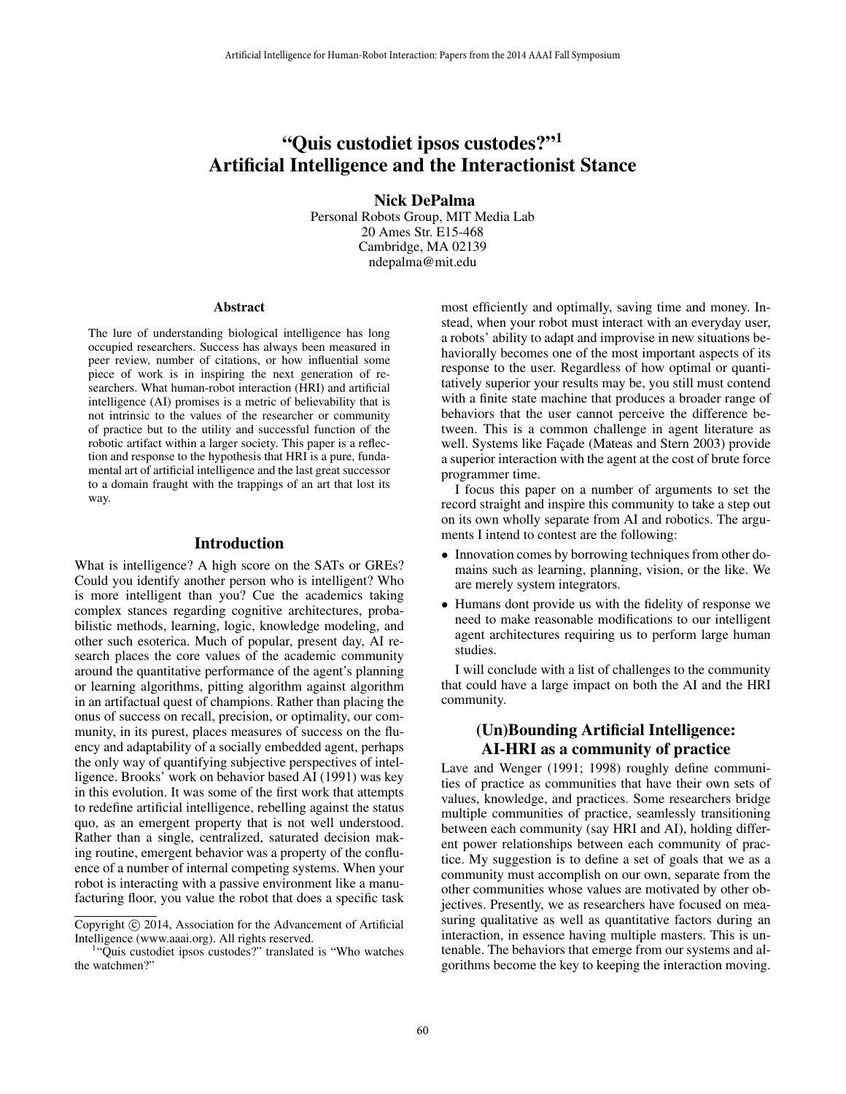# "Quis custodiet ipsos custodes?"<sup>1</sup> Artificial Intelligence and the Interactionist Stance

Nick DePalma

Personal Robots Group, MIT Media Lab 20 Ames Str. E15-468 Cambridge, MA 02139 ndepalma@mit.edu

#### Abstract

The lure of understanding biological intelligence has long occupied researchers. Success has always been measured in peer review, number of citations, or how influential some piece of work is in inspiring the next generation of researchers. What human-robot interaction (HRI) and artificial intelligence (AI) promises is a metric of believability that is not intrinsic to the values of the researcher or community of practice but to the utility and successful function of the robotic artifact within a larger society. This paper is a reflection and response to the hypothesis that HRI is a pure, fundamental art of artificial intelligence and the last great successor to a domain fraught with the trappings of an art that lost its way.

### Introduction

What is intelligence? A high score on the SATs or GREs? Could you identify another person who is intelligent? Who is more intelligent than you? Cue the academics taking complex stances regarding cognitive architectures, probabilistic methods, learning, logic, knowledge modeling, and other such esoterica. Much of popular, present day, AI research places the core values of the academic community around the quantitative performance of the agent's planning or learning algorithms, pitting algorithm against algorithm in an artifactual quest of champions. Rather than placing the onus of success on recall, precision, or optimality, our community, in its purest, places measures of success on the fluency and adaptability of a socially embedded agent, perhaps the only way of quantifying subjective perspectives of intelligence. Brooks' work on behavior based AI (1991) was key in this evolution. It was some of the first work that attempts to redefine artificial intelligence, rebelling against the status quo, as an emergent property that is not well understood. Rather than a single, centralized, saturated decision making routine, emergent behavior was a property of the confluence of a number of internal competing systems. When your robot is interacting with a passive environment like a manufacturing floor, you value the robot that does a specific task Artificial intelligence for thems and the Interaction: Paper from the 2014 AAAI Fall Symposium<br> **COLUS CUSTOCOLE 1 pSOG CUSTOCOLES**<sup>9911</sup><br> **COLUS CUSTOCOLES**<br> **COLUS CUSTOCOLES**<br> **COLUS CUSTOCOLES**<br> **COLUS CUSTOCOLES**<br> **C** 

most efficiently and optimally, saving time and money. Instead, when your robot must interact with an everyday user, a robots' ability to adapt and improvise in new situations behaviorally becomes one of the most important aspects of its response to the user. Regardless of how optimal or quantitatively superior your results may be, you still must contend with a finite state machine that produces a broader range of behaviors that the user cannot perceive the difference between. This is a common challenge in agent literature as well. Systems like Facade (Mateas and Stern 2003) provide a superior interaction with the agent at the cost of brute force programmer time.

I focus this paper on a number of arguments to set the record straight and inspire this community to take a step out on its own wholly separate from AI and robotics. The arguments I intend to contest are the following:

- Innovation comes by borrowing techniques from other domains such as learning, planning, vision, or the like. We are merely system integrators.
- Humans dont provide us with the fidelity of response we need to make reasonable modifications to our intelligent agent architectures requiring us to perform large human studies.

I will conclude with a list of challenges to the community that could have a large impact on both the AI and the HRI community.

### (Un)Bounding Artificial Intelligence: AI-HRI as a community of practice

Lave and Wenger (1991; 1998) roughly define communities of practice as communities that have their own sets of values, knowledge, and practices. Some researchers bridge multiple communities of practice, seamlessly transitioning between each community (say HRI and AI), holding different power relationships between each community of practice. My suggestion is to define a set of goals that we as a community must accomplish on our own, separate from the other communities whose values are motivated by other objectives. Presently, we as researchers have focused on measuring qualitative as well as quantitative factors during an interaction, in essence having multiple masters. This is untenable. The behaviors that emerge from our systems and algorithms become the key to keeping the interaction moving.

Copyright (c) 2014, Association for the Advancement of Artificial Intelligence (www.aaai.org). All rights reserved.

<sup>1</sup> "Quis custodiet ipsos custodes?" translated is "Who watches the watchmen?"